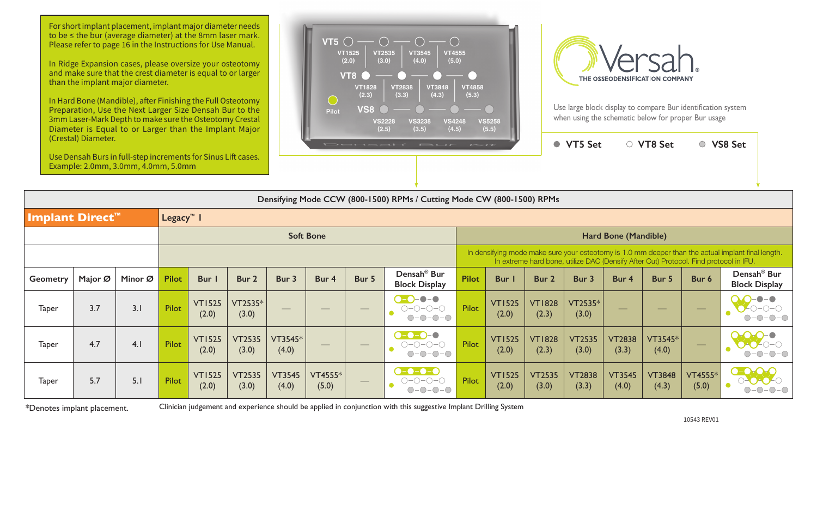|                        |         |         |                       |                        |                        |                          |                          |                                | Densifying Mode CCW (800-1500) RPMs / Cutting Mode CW (800-1500) RPMs          |                                                                                                                                                                                             |                        |                        |                        |                        |                        |                         |                                                               |  |  |  |
|------------------------|---------|---------|-----------------------|------------------------|------------------------|--------------------------|--------------------------|--------------------------------|--------------------------------------------------------------------------------|---------------------------------------------------------------------------------------------------------------------------------------------------------------------------------------------|------------------------|------------------------|------------------------|------------------------|------------------------|-------------------------|---------------------------------------------------------------|--|--|--|
| <b>Implant Direct™</b> |         |         | Legacy <sup>™</sup> I |                        |                        |                          |                          |                                |                                                                                |                                                                                                                                                                                             |                        |                        |                        |                        |                        |                         |                                                               |  |  |  |
|                        |         |         |                       |                        |                        |                          | <b>Soft Bone</b>         |                                |                                                                                | Hard Bone (Mandible)                                                                                                                                                                        |                        |                        |                        |                        |                        |                         |                                                               |  |  |  |
|                        |         |         |                       |                        |                        |                          |                          |                                |                                                                                | In densifying mode make sure your osteotomy is 1.0 mm deeper than the actual implant final length.<br>In extreme hard bone, utilize DAC (Densify After Cut) Protocol. Find protocol in IFU. |                        |                        |                        |                        |                        |                         |                                                               |  |  |  |
| <b>Geometry</b>        | Major Ø | Minor Ø | <b>Pilot</b>          | Bur I                  | Bur 2                  | Bur 3                    | Bur 4                    | Bur 5                          | Densah <sup>®</sup> Bur<br><b>Block Display</b>                                | <b>Pilot</b>                                                                                                                                                                                | <b>Bur</b>             | Bur 2                  | Bur 3                  | Bur 4                  | Bur 5                  | Bur 6                   | Densah <sup>®</sup> Bur<br><b>Block Display</b>               |  |  |  |
| <b>Taper</b>           | 3.7     | 3.1     | <b>Pilot</b>          | <b>VT1525</b><br>(2.0) | VT2535*<br>(3.0)       | $\overline{\phantom{a}}$ | $\overline{\phantom{a}}$ | $\overline{\phantom{a}}$       | $\bullet$ - $\bullet$<br>$\bigcirc$ $\bigcirc$<br>$O-O-O-O$<br>$O-O-O-O$       | <b>Pilot</b>                                                                                                                                                                                | <b>VT1525</b><br>(2.0) | <b>VT1828</b><br>(2.3) | $VT2535*$<br>(3.0)     | $\frac{1}{2}$          | $\frac{1}{2}$          | $\frac{1}{2}$           |                                                               |  |  |  |
| <b>Taper</b>           | 4.7     | 4.1     | Pilot                 | <b>VT1525</b><br>(2.0) | <b>VT2535</b><br>(3.0) | VT3545*<br>(4.0)         |                          | $\overbrace{\hspace{25mm}}^{}$ | $\bullet$ $\bullet$ $\bullet$ $\bullet$<br>$O-O-O-O-O$<br>$O-O-O-O$            | <b>Pilot</b>                                                                                                                                                                                | <b>VT1525</b><br>(2.0) | <b>VT1828</b><br>(2.3) | <b>VT2535</b><br>(3.0) | <b>VT2838</b><br>(3.3) | VT3545*<br>(4.0)       | $\frac{1}{2}$           |                                                               |  |  |  |
| <b>Taper</b>           | 5.7     | 5.1     | Pilot                 | <b>VT1525</b><br>(2.0) | <b>VT2535</b><br>(3.0) | <b>VT3545</b><br>(4.0)   | VT4555*<br>(5.0)         | $\qquad \qquad -$              | $\bullet$ - $\bullet$ - $\bullet$ - $\bullet$<br>$O-O-O-O-$<br>œ<br>$O-O-O-O-$ | <b>Pilot</b>                                                                                                                                                                                | <b>VT1525</b><br>(2.0) | <b>VT2535</b><br>(3.0) | <b>VT2838</b><br>(3.3) | <b>VT3545</b><br>(4.0) | <b>VT3848</b><br>(4.3) | <b>VT4555*</b><br>(5.0) | $\overline{O}$ of $\overline{O}$<br><b>DECARGE</b><br>$-O$ -O |  |  |  |

For short implant placement, implant major diameter needs to be ≤ the bur (average diameter) at the 8mm laser mark. Please refer to page 16 in the Instructions for Use Manual.

10543 REV01

\*Denotes implant placement. Clinician judgement and experience should be applied in conjunction with this suggestive Implant Drilling System



In Ridge Expansion cases, please oversize your osteotomy and make sure that the crest diameter is equal to or larger than the implant major diameter.

In Hard Bone (Mandible), after Finishing the Full Osteotomy Preparation, Use the Next Larger Size Densah Bur to the 3mm Laser-Mark Depth to make sure the Osteotomy Crestal Diameter is Equal to or Larger than the Implant Major (Crestal) Diameter.

Use Densah Burs in full-step increments for Sinus Lift cases. Example: 2.0mm, 3.0mm, 4.0mm, 5.0mm





Use large block display to compare Bur identification system when using the schematic below for proper Bur usage

**VT5 Set**  $\qquad \qquad \circ$  VT8 Set  $\qquad \qquad \circ$  VS8 Set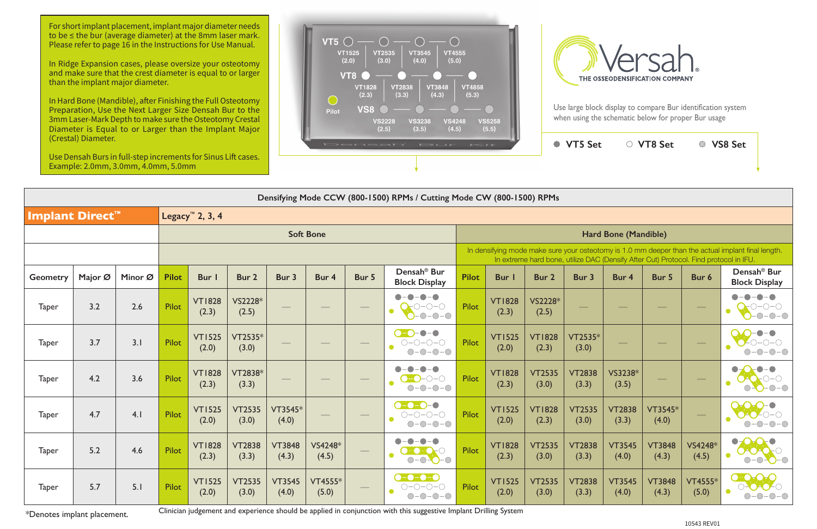Use large block display to compare Bur identification system when using the schematic below for proper Bur usage

|                 | (Crestal) Diameter.<br>Use Densah Burs in full-step increments for Sinus Lift cases. |         |              |                             |                        |                        |                  |       | Densah <sup>®</sup> Bur                                                                                                                                                                     | $L = H$      |                        | ● VT5 Set<br>○ VT8 Set<br>○ VS8 Set |                        |                        |                        |                  |                                                 |  |  |  |
|-----------------|--------------------------------------------------------------------------------------|---------|--------------|-----------------------------|------------------------|------------------------|------------------|-------|---------------------------------------------------------------------------------------------------------------------------------------------------------------------------------------------|--------------|------------------------|-------------------------------------|------------------------|------------------------|------------------------|------------------|-------------------------------------------------|--|--|--|
|                 | Example: 2.0mm, 3.0mm, 4.0mm, 5.0mm                                                  |         |              |                             |                        |                        |                  |       |                                                                                                                                                                                             |              |                        |                                     |                        |                        |                        |                  |                                                 |  |  |  |
|                 |                                                                                      |         |              |                             |                        |                        |                  |       | Densifying Mode CCW (800-1500) RPMs / Cutting Mode CW (800-1500) RPMs                                                                                                                       |              |                        |                                     |                        |                        |                        |                  |                                                 |  |  |  |
| Implant Direct™ |                                                                                      |         |              | Legacy <sup>m</sup> 2, 3, 4 |                        |                        |                  |       |                                                                                                                                                                                             |              |                        |                                     |                        |                        |                        |                  |                                                 |  |  |  |
|                 |                                                                                      |         |              |                             |                        |                        | <b>Soft Bone</b> |       |                                                                                                                                                                                             |              |                        |                                     |                        | Hard Bone (Mandible)   |                        |                  |                                                 |  |  |  |
|                 |                                                                                      |         |              |                             |                        |                        |                  |       | In densifying mode make sure your osteotomy is 1.0 mm deeper than the actual implant final length.<br>In extreme hard bone, utilize DAC (Densify After Cut) Protocol. Find protocol in IFU. |              |                        |                                     |                        |                        |                        |                  |                                                 |  |  |  |
| <b>Geometry</b> | Major Ø                                                                              | Minor Ø | <b>Pilot</b> | Bur I                       | Bur 2                  | Bur 3                  | Bur 4            | Bur 5 | Densah <sup>®</sup> Bur<br><b>Block Display</b>                                                                                                                                             | <b>Pilot</b> | <b>Bur</b> I           | Bur 2                               | Bur 3                  | Bur 4                  | Bur 5                  | Bur 6            | Densah <sup>®</sup> Bur<br><b>Block Display</b> |  |  |  |
| <b>Taper</b>    | 3.2                                                                                  | 2.6     | Pilot        | <b>VT1828</b><br>(2.3)      | VS2228*<br>(2.5)       |                        |                  |       | )−∩−∩<br>$\bullet$<br>$O-O-O$                                                                                                                                                               | <b>Pilot</b> | <b>VT1828</b><br>(2.3) | VS2228*<br>(2.5)                    |                        |                        |                        |                  |                                                 |  |  |  |
| <b>Taper</b>    | 3.7                                                                                  | 3.1     | Pilot        | <b>VT1525</b><br>(2.0)      | VT2535*<br>(3.0)       |                        |                  |       | $\bullet - \bullet$<br>$\bigcirc$ -O<br>$O-O-O-O$<br>$\bullet$<br>$-0-0-0$<br>$\bigcirc$                                                                                                    | Pilot        | <b>VT1525</b><br>(2.0) | <b>VT1828</b><br>(2.3)              | VT2535*<br>(3.0)       |                        |                        |                  |                                                 |  |  |  |
| <b>Taper</b>    | 4.2                                                                                  | 3.6     | Pilot        | <b>VT1828</b><br>(2.3)      | VT2838*<br>(3.3)       |                        |                  |       | $-0-0$<br>$\bigcap$ -                                                                                                                                                                       | Pilot        | <b>VT1828</b><br>(2.3) | <b>VT2535</b><br>(3.0)              | <b>VT2838</b><br>(3.3) | VS3238*<br>(3.5)       |                        |                  |                                                 |  |  |  |
| <b>Taper</b>    | 4.7                                                                                  | 4.1     | Pilot        | <b>VT1525</b><br>(2.0)      | <b>VT2535</b><br>(3.0) | VT3545*<br>(4.0)       |                  |       | $\bullet$ - $\bullet$ - $\bullet$ - $\bullet$<br>$O-O-O-O-\bigcirc$<br>$\bullet$<br>$-0-0-0$<br>$(\ )$                                                                                      | Pilot        | <b>VT1525</b><br>(2.0) | <b>VT1828</b><br>(2.3)              | <b>VT2535</b><br>(3.0) | <b>VT2838</b><br>(3.3) | VT3545*<br>(4.0)       |                  |                                                 |  |  |  |
| <b>Taper</b>    | 5.2                                                                                  | 4.6     | <b>Pilot</b> | <b>VT1828</b><br>(2.3)      | <b>VT2838</b><br>(3.3) | <b>VT3848</b><br>(4.3) | VS4248*<br>(4.5) |       | $\begin{array}{c} \bullet \\ \bullet \\ \bullet \end{array}$<br>$\bullet$<br>$0 - 0 - 8$<br>$\bullet$                                                                                       | Pilot        | <b>VT1828</b><br>(2.3) | <b>VT2535</b><br>(3.0)              | <b>VT2838</b><br>(3.3) | <b>VT3545</b><br>(4.0) | <b>VT3848</b><br>(4.3) | VS4248*<br>(4.5) | 388<br>$\bullet$                                |  |  |  |
| <b>Taper</b>    | 5.7                                                                                  | 5.1     | Pilot        | <b>VT1525</b><br>(2.0)      | <b>VT2535</b><br>(3.0) | <b>VT3545</b><br>(4.0) | VT4555*<br>(5.0) |       | $\bullet$ - $\bullet$ - $\bullet$<br>$O-O-O-O$<br>$O-O-O-O$                                                                                                                                 | Pilot        | <b>VT1525</b><br>(2.0) | <b>VT2535</b><br>(3.0)              | <b>VT2838</b><br>(3.3) | <b>VT3545</b><br>(4.0) | <b>VT3848</b><br>(4.3) | VT4555*<br>(5.0) | $\bullet$ - over<br>$O-O-O-O$<br>$\bullet$      |  |  |  |

\*Denotes implant placement.

Clinician judgement and experience should be applied in conjunction with this suggestive Implant Drilling System

For short implant placement, implant major diameter needs to be ≤ the bur (average diameter) at the 8mm laser mark. Please refer to page 16 in the Instructions for Use Manual.

In Ridge Expansion cases, please oversize your osteotomy and make sure that the crest diameter is equal to or larger than the implant major diameter.

In Hard Bone (Mandible), after Finishing the Full Osteotomy Preparation, Use the Next Larger Size Densah Bur to the 3mm Laser-Mark Depth to make sure the Osteotomy Crestal Diameter is Equal to or Larger than the Implant Major (Crestal) Diameter.



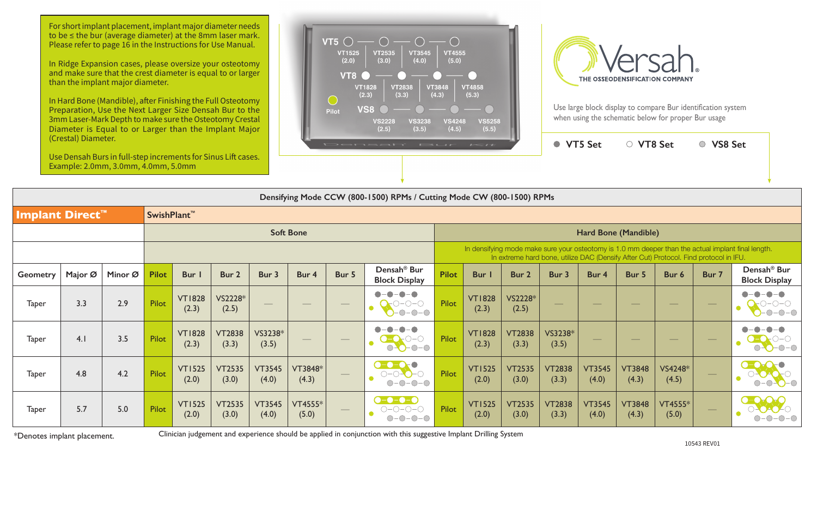Use large block display to compare Bur identification system when using the schematic below for proper Bur usage

|                                                                       | (Crestal) Diameter.<br><b>VT5 Set</b><br>○ VT8 Set<br><b>VS8 Set</b><br>$\bigcirc$<br>$\bullet$<br>Densah' Bur<br>$I = II$<br>Use Densah Burs in full-step increments for Sinus Lift cases.<br>Example: 2.0mm, 3.0mm, 4.0mm, 5.0mm |         |              |                        |                        |                        |                  |                   |                                                                           |                                                                                                                                                                                             |                        |                        |                          |                        |                        |                         |                          |                                                   |  |  |  |  |
|-----------------------------------------------------------------------|------------------------------------------------------------------------------------------------------------------------------------------------------------------------------------------------------------------------------------|---------|--------------|------------------------|------------------------|------------------------|------------------|-------------------|---------------------------------------------------------------------------|---------------------------------------------------------------------------------------------------------------------------------------------------------------------------------------------|------------------------|------------------------|--------------------------|------------------------|------------------------|-------------------------|--------------------------|---------------------------------------------------|--|--|--|--|
| Densifying Mode CCW (800-1500) RPMs / Cutting Mode CW (800-1500) RPMs |                                                                                                                                                                                                                                    |         |              |                        |                        |                        |                  |                   |                                                                           |                                                                                                                                                                                             |                        |                        |                          |                        |                        |                         |                          |                                                   |  |  |  |  |
| SwishPlant <sup>™</sup><br>Implant Direct™                            |                                                                                                                                                                                                                                    |         |              |                        |                        |                        |                  |                   |                                                                           |                                                                                                                                                                                             |                        |                        |                          |                        |                        |                         |                          |                                                   |  |  |  |  |
| <b>Soft Bone</b>                                                      |                                                                                                                                                                                                                                    |         |              |                        |                        |                        |                  |                   |                                                                           |                                                                                                                                                                                             | Hard Bone (Mandible)   |                        |                          |                        |                        |                         |                          |                                                   |  |  |  |  |
|                                                                       |                                                                                                                                                                                                                                    |         |              |                        |                        |                        |                  |                   |                                                                           | In densifying mode make sure your osteotomy is 1.0 mm deeper than the actual implant final length.<br>In extreme hard bone, utilize DAC (Densify After Cut) Protocol. Find protocol in IFU. |                        |                        |                          |                        |                        |                         |                          |                                                   |  |  |  |  |
| <b>Geometry</b>                                                       | Major Ø                                                                                                                                                                                                                            | Minor Ø | <b>Pilot</b> | Bur I                  | Bur 2                  | Bur 3                  | Bur 4            | Bur 5             | Densah <sup>®</sup> Bur<br><b>Block Display</b>                           | <b>Pilot</b>                                                                                                                                                                                | Bur I                  | Bur 2                  | Bur 3                    | Bur 4                  | Bur 5                  | Bur 6                   | Bur 7                    | Densah <sup>®</sup> Bur<br><b>Block Display</b>   |  |  |  |  |
| <b>Taper</b>                                                          | 3.3                                                                                                                                                                                                                                | 2.9     | Pilot        | <b>VT1828</b><br>(2.3) | VS2228*<br>(2.5)       |                        | $\frac{1}{2}$    | $\qquad \qquad -$ | $\bullet - \bullet$<br>$D$ -O-O<br>$\bullet$<br>$-0-0-0$                  | Pilot                                                                                                                                                                                       | <b>VT1828</b><br>(2.3) | VS2228*<br>(2.5)       | $\overline{\phantom{a}}$ |                        |                        |                         | $\hspace{0.1cm}$         | $-\bullet-\bullet$<br>$-0-0-0$                    |  |  |  |  |
| <b>Taper</b>                                                          | 4.1                                                                                                                                                                                                                                | 3.5     | <b>Pilot</b> | <b>VT1828</b><br>(2.3) | <b>VT2838</b><br>(3.3) | VS3238*<br>(3.5)       |                  |                   | $D$ –C<br>$0 - 0 - 0 - 0$                                                 | Pilot                                                                                                                                                                                       | <b>VT1828</b><br>(2.3) | <b>VT2838</b><br>(3.3) | VS3238*<br>(3.5)         |                        |                        |                         | $\hspace{0.05cm}$        | $ \bigcirc$ $ \bigcirc$<br>$\bigcirc$ $\bigcirc$  |  |  |  |  |
| <b>Taper</b>                                                          | 4.8                                                                                                                                                                                                                                | 4.2     | Pilot        | <b>VT1525</b><br>(2.0) | <b>VT2535</b><br>(3.0) | <b>VT3545</b><br>(4.0) | VT3848*<br>(4.3) | $\hspace{0.05cm}$ | $\bullet$ - $\bullet$ - $\bullet$<br>$O-O-O-O$<br>$O-O-O-O$               | Pilot                                                                                                                                                                                       | <b>VT1525</b><br>(2.0) | <b>VT2535</b><br>(3.0) | <b>VT2838</b><br>(3.3)   | <b>VT3545</b><br>(4.0) | <b>VT3848</b><br>(4.3) | VS4248*<br>(4.5)        | $\overline{\phantom{m}}$ | $\bullet$ - $\bullet$ -<br>$\bullet$<br>$O-O-O-O$ |  |  |  |  |
| <b>Taper</b>                                                          | 5.7                                                                                                                                                                                                                                | 5.0     | Pilot        | <b>VT1525</b><br>(2.0) | <b>VT2535</b><br>(3.0) | <b>VT3545</b><br>(4.0) | VT4555*<br>(5.0) |                   | $\bullet$ - $\bullet$ - $\bullet$ - $\bullet$<br>$O-O-O-O-O$<br>$O-O-O-O$ | Pilot                                                                                                                                                                                       | <b>VT1525</b><br>(2.0) | <b>VT2535</b><br>(3.0) | <b>VT2838</b><br>(3.3)   | <b>VT3545</b><br>(4.0) | <b>VT3848</b><br>(4.3) | <b>VT4555*</b><br>(5.0) |                          | $ \bigcirc$ $ \bigcirc$                           |  |  |  |  |

\*Denotes implant placement.

Clinician judgement and experience should be applied in conjunction with this suggestive Implant Drilling System

For short implant placement, implant major diameter needs to be ≤ the bur (average diameter) at the 8mm laser mark. Please refer to page 16 in the Instructions for Use Manual.

In Ridge Expansion cases, please oversize your osteotomy and make sure that the crest diameter is equal to or larger than the implant major diameter.

In Hard Bone (Mandible), after Finishing the Full Osteotomy Preparation, Use the Next Larger Size Densah Bur to the 3mm Laser-Mark Depth to make sure the Osteotomy Crestal Diameter is Equal to or Larger than the Implant Major (Crestal) Diameter.



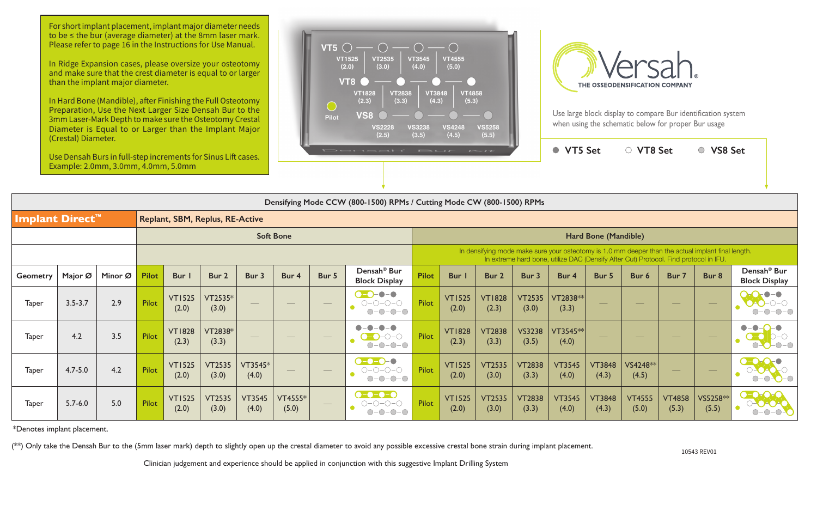|                        |             |         |              |                        |                                        |                          |                                 |                                 | Densifying Mode CCW (800-1500) RPMs / Cutting Mode CW (800-1500) RPMs                                                                     |                      |                                                                                                                                                                                             |                        |                        |                        |                                |                        |                             |                          |                                                   |  |  |  |
|------------------------|-------------|---------|--------------|------------------------|----------------------------------------|--------------------------|---------------------------------|---------------------------------|-------------------------------------------------------------------------------------------------------------------------------------------|----------------------|---------------------------------------------------------------------------------------------------------------------------------------------------------------------------------------------|------------------------|------------------------|------------------------|--------------------------------|------------------------|-----------------------------|--------------------------|---------------------------------------------------|--|--|--|
| <b>Implant Direct™</b> |             |         |              |                        | <b>Replant, SBM, Replus, RE-Active</b> |                          |                                 |                                 |                                                                                                                                           |                      |                                                                                                                                                                                             |                        |                        |                        |                                |                        |                             |                          |                                                   |  |  |  |
| <b>Soft Bone</b>       |             |         |              |                        |                                        |                          |                                 |                                 |                                                                                                                                           | Hard Bone (Mandible) |                                                                                                                                                                                             |                        |                        |                        |                                |                        |                             |                          |                                                   |  |  |  |
|                        |             |         |              |                        |                                        |                          |                                 |                                 |                                                                                                                                           |                      | In densifying mode make sure your osteotomy is 1.0 mm deeper than the actual implant final length.<br>In extreme hard bone, utilize DAC (Densify After Cut) Protocol. Find protocol in IFU. |                        |                        |                        |                                |                        |                             |                          |                                                   |  |  |  |
| <b>Geometry</b>        | Major Ø     | Minor Ø | <b>Pilot</b> | Bur                    | Bur 2                                  | Bur 3                    | Bur 4                           | Bur 5                           | Densah <sup>®</sup> Bur<br><b>Block Display</b>                                                                                           | <b>Pilot</b>         | Bur I                                                                                                                                                                                       | Bur 2                  | Bur 3                  | Bur 4                  | Bur 5                          | Bur 6                  | Bur 7                       | Bur 8                    | Densah <sup>®</sup> Bur<br><b>Block Display</b>   |  |  |  |
| Taper                  | $3.5 - 3.7$ | 2.9     | Pilot        | <b>VT1525</b><br>(2.0) | VT2535*<br>(3.0)                       | $\overline{\phantom{a}}$ | $\hspace{0.1mm}-\hspace{0.1mm}$ | $\hspace{0.1mm}-\hspace{0.1mm}$ | <b>D-0-0-0</b><br>$\bigcirc\negmedspace-\bigcirc\negmedspace-\bigcirc\negmedspace-\bigcirc$<br>$O-O-O-O$                                  | Pilot                | <b>VT1525</b><br>(2.0)                                                                                                                                                                      | <b>VT1828</b><br>(2.3) | <b>VT2535</b><br>(3.0) | VT2838**<br>(3.3)      | $\overbrace{\hspace{25mm}}^{}$ | $\frac{1}{2}$          | $\overbrace{\hspace{25mm}}$ | $\hspace{0.05cm}$        | $O-O-O-O$                                         |  |  |  |
| <b>Taper</b>           | 4.2         | 3.5     | Pilot        | <b>VT1828</b><br>(2.3) | VT2838*<br>(3.3)                       | $\overline{\phantom{a}}$ | $\hspace{0.1mm}-\hspace{0.1mm}$ | $\overline{\phantom{a}}$        | $\bullet - \bullet$<br>$\bullet$ -<br>$O-O-O-O$                                                                                           | Pilot                | <b>VT1828</b><br>(2.3)                                                                                                                                                                      | <b>VT2838</b><br>(3.3) | <b>VS3238</b><br>(3.5) | $VT3545**$<br>(4.0)    | $\overline{\phantom{a}}$       |                        | $\overline{\phantom{m}}$    | $\overline{\phantom{m}}$ | $\bullet$<br>$-O$ - $O$                           |  |  |  |
| <b>Taper</b>           | $4.7 - 5.0$ | 4.2     | Pilot        | <b>VT1525</b><br>(2.0) | <b>VT2535</b><br>(3.0)                 | VT3545*<br>(4.0)         | $\hspace{0.05cm}$               | $\hspace{0.1cm} -$              | $- - - - -$<br>$\bigcirc\negmedspace-\bigcirc\negmedspace-\bigcirc\negmedspace-\bigcirc$<br>$O-O-O-O$                                     | Pilot                | <b>VT1525</b><br>(2.0)                                                                                                                                                                      | <b>VT2535</b><br>(3.0) | <b>VT2838</b><br>(3.3) | <b>VT3545</b><br>(4.0) | <b>VT3848</b><br>(4.3)         | VS4248 **<br>(4.5)     | $\qquad \qquad -$           | $\hspace{0.05cm}$        | $O-O-O-O$                                         |  |  |  |
| <b>Taper</b>           | $5.7 - 6.0$ | 5.0     | Pilot        | <b>VT1525</b><br>(2.0) | <b>VT2535</b><br>(3.0)                 | <b>VT3545</b><br>(4.0)   | VT4555*<br>(5.0)                |                                 | $\bullet$ - $\bullet$ - $\bullet$<br>$\bigcirc\negmedspace-\bigcirc\negmedspace-\bigcirc\negmedspace-\bigcirc$<br>$\bullet$<br>$O-O-O-O-$ | Pilot                | <b>VT1525</b><br>(2.0)                                                                                                                                                                      | <b>VT2535</b><br>(3.0) | <b>VT2838</b><br>(3.3) | <b>VT3545</b><br>(4.0) | <b>VT3848</b><br>(4.3)         | <b>VT4555</b><br>(5.0) | <b>VT4858</b><br>(5.3)      | VS5258 **<br>(5.5)       | $\bullet$ - $\bullet$ -<br>$\bullet$<br>$O-O-O-O$ |  |  |  |

For short implant placement, implant major diameter needs to be ≤ the bur (average diameter) at the 8mm laser mark. Please refer to page 16 in the Instructions for Use Manual.

\*Denotes implant placement.

(\*\*) Only take the Densah Bur to the (5mm laser mark) depth to slightly open up the crestal diameter to avoid any possible excessive crestal bone strain during implant placement.

Clinician judgement and experience should be applied in conjunction with this suggestive Implant Drilling System

Use large block display to compare Bur identification system when using the schematic below for proper Bur usage

**VT5 Set VT8 Set VS8 Set**

In Ridge Expansion cases, please oversize your osteotomy and make sure that the crest diameter is equal to or larger than the implant major diameter.

In Hard Bone (Mandible), after Finishing the Full Osteotomy Preparation, Use the Next Larger Size Densah Bur to the 3mm Laser-Mark Depth to make sure the Osteotomy Crestal Diameter is Equal to or Larger than the Implant Major (Crestal) Diameter.

Use Densah Burs in full-step increments for Sinus Lift cases. Example: 2.0mm, 3.0mm, 4.0mm, 5.0mm